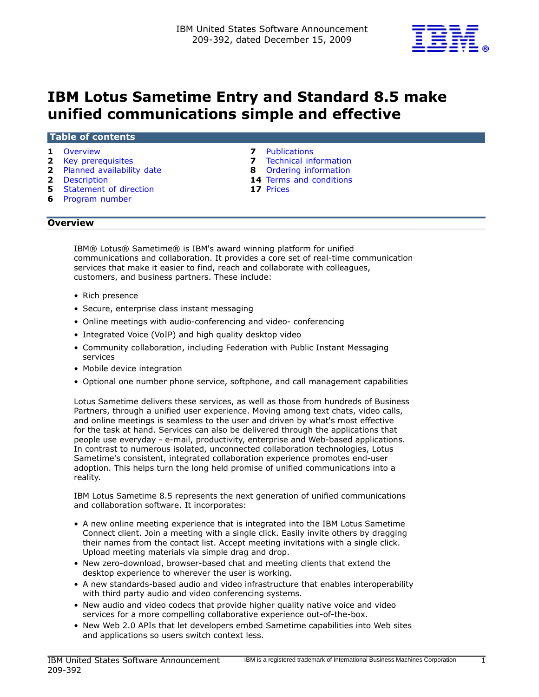

# IBM Lotus Sametime Entry and Standard 8.5 make unified communications simple and effective

#### Table of contents

- 
- 
- 2 [Planned availability date](#page-1-1) **8** Ordering information
- 
- 5 Statement of direction
- 6 [Program number](#page-5-0)
- 1 [Overview](#page-0-0) **1 Overview 1 Overview 1 Overview 7 Publications**
- **2** [Key prerequisites](#page-1-0) **7** Technical information
	-
- 2 [Description](#page-1-2) 14 Terms and conditions<br>
5 Statement of direction 17 Prices
	-

## <span id="page-0-0"></span>**Overview**

IBM® Lotus® Sametime® is IBM's award winning platform for unified communications and collaboration. It provides a core set of real-time communication services that make it easier to find, reach and collaborate with colleagues, customers, and business partners. These include:

- Rich presence
- Secure, enterprise class instant messaging
- Online meetings with audio-conferencing and video- conferencing
- Integrated Voice (VoIP) and high quality desktop video
- Community collaboration, including Federation with Public Instant Messaging services
- Mobile device integration
- Optional one number phone service, softphone, and call management capabilities

Lotus Sametime delivers these services, as well as those from hundreds of Business Partners, through a unified user experience. Moving among text chats, video calls, and online meetings is seamless to the user and driven by what's most effective for the task at hand. Services can also be delivered through the applications that people use everyday - e-mail, productivity, enterprise and Web-based applications. In contrast to numerous isolated, unconnected collaboration technologies, Lotus Sametime's consistent, integrated collaboration experience promotes end-user adoption. This helps turn the long held promise of unified communications into a reality.

IBM Lotus Sametime 8.5 represents the next generation of unified communications and collaboration software. It incorporates:

- A new online meeting experience that is integrated into the IBM Lotus Sametime Connect client. Join a meeting with a single click. Easily invite others by dragging their names from the contact list. Accept meeting invitations with a single click. Upload meeting materials via simple drag and drop.
- New zero-download, browser-based chat and meeting clients that extend the desktop experience to wherever the user is working.
- A new standards-based audio and video infrastructure that enables interoperability with third party audio and video conferencing systems.
- New audio and video codecs that provide higher quality native voice and video services for a more compelling collaborative experience out-of-the-box.
- New Web 2.0 APIs that let developers embed Sametime capabilities into Web sites and applications so users switch context less.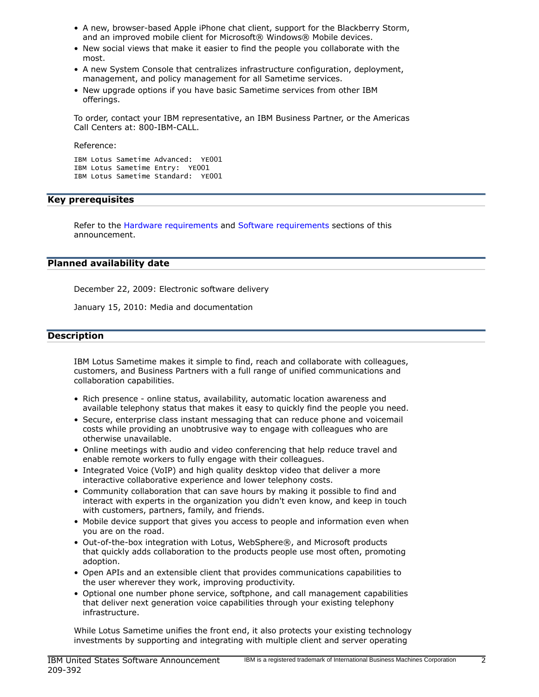- A new, browser-based Apple iPhone chat client, support for the Blackberry Storm, and an improved mobile client for Microsoft® Windows® Mobile devices.
- New social views that make it easier to find the people you collaborate with the most.
- A new System Console that centralizes infrastructure configuration, deployment, management, and policy management for all Sametime services.
- New upgrade options if you have basic Sametime services from other IBM offerings.

To order, contact your IBM representative, an IBM Business Partner, or the Americas Call Centers at: 800-IBM-CALL.

Reference:

```
IBM Lotus Sametime Advanced: YE001
IBM Lotus Sametime Entry: YE001
IBM Lotus Sametime Standard: YE001
```
## <span id="page-1-0"></span>Key prerequisites

Refer to the [Hardware requirements](#page-6-2) and [Software requirements](#page-6-3) sections of this announcement.

## <span id="page-1-1"></span>Planned availability date

December 22, 2009: Electronic software delivery

January 15, 2010: Media and documentation

## <span id="page-1-2"></span>**Description**

IBM Lotus Sametime makes it simple to find, reach and collaborate with colleagues, customers, and Business Partners with a full range of unified communications and collaboration capabilities.

- Rich presence online status, availability, automatic location awareness and available telephony status that makes it easy to quickly find the people you need.
- Secure, enterprise class instant messaging that can reduce phone and voicemail costs while providing an unobtrusive way to engage with colleagues who are otherwise unavailable.
- Online meetings with audio and video conferencing that help reduce travel and enable remote workers to fully engage with their colleagues.
- Integrated Voice (VoIP) and high quality desktop video that deliver a more interactive collaborative experience and lower telephony costs.
- Community collaboration that can save hours by making it possible to find and interact with experts in the organization you didn't even know, and keep in touch with customers, partners, family, and friends.
- Mobile device support that gives you access to people and information even when you are on the road.
- Out-of-the-box integration with Lotus, WebSphere®, and Microsoft products that quickly adds collaboration to the products people use most often, promoting adoption.
- Open APIs and an extensible client that provides communications capabilities to the user wherever they work, improving productivity.
- Optional one number phone service, softphone, and call management capabilities that deliver next generation voice capabilities through your existing telephony infrastructure.

While Lotus Sametime unifies the front end, it also protects your existing technology investments by supporting and integrating with multiple client and server operating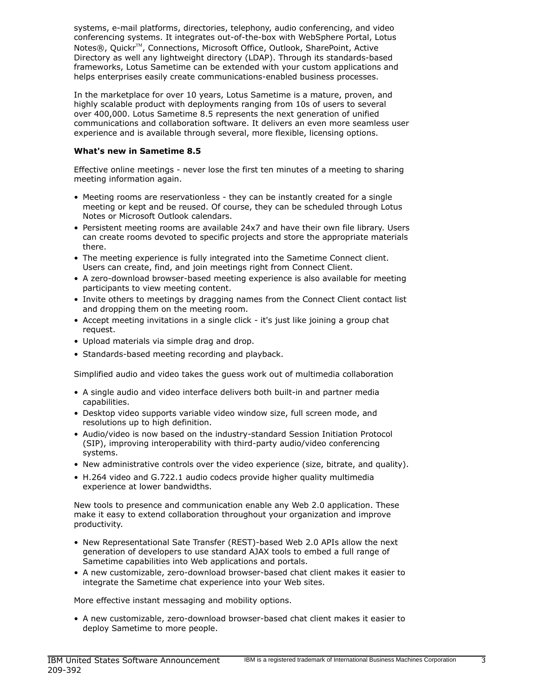systems, e-mail platforms, directories, telephony, audio conferencing, and video conferencing systems. It integrates out-of-the-box with WebSphere Portal, Lotus Notes®, Quickr<sup>™</sup>, Connections, Microsoft Office, Outlook, SharePoint, Active Directory as well any lightweight directory (LDAP). Through its standards-based frameworks, Lotus Sametime can be extended with your custom applications and helps enterprises easily create communications-enabled business processes.

In the marketplace for over 10 years, Lotus Sametime is a mature, proven, and highly scalable product with deployments ranging from 10s of users to several over 400,000. Lotus Sametime 8.5 represents the next generation of unified communications and collaboration software. It delivers an even more seamless user experience and is available through several, more flexible, licensing options.

## What's new in Sametime 8.5

Effective online meetings - never lose the first ten minutes of a meeting to sharing meeting information again.

- Meeting rooms are reservationless they can be instantly created for a single meeting or kept and be reused. Of course, they can be scheduled through Lotus Notes or Microsoft Outlook calendars.
- Persistent meeting rooms are available 24x7 and have their own file library. Users can create rooms devoted to specific projects and store the appropriate materials there.
- The meeting experience is fully integrated into the Sametime Connect client. Users can create, find, and join meetings right from Connect Client.
- A zero-download browser-based meeting experience is also available for meeting participants to view meeting content.
- Invite others to meetings by dragging names from the Connect Client contact list and dropping them on the meeting room.
- Accept meeting invitations in a single click it's just like joining a group chat request.
- Upload materials via simple drag and drop.
- Standards-based meeting recording and playback.

Simplified audio and video takes the guess work out of multimedia collaboration

- A single audio and video interface delivers both built-in and partner media capabilities.
- Desktop video supports variable video window size, full screen mode, and resolutions up to high definition.
- Audio/video is now based on the industry-standard Session Initiation Protocol (SIP), improving interoperability with third-party audio/video conferencing systems.
- New administrative controls over the video experience (size, bitrate, and quality).
- H.264 video and G.722.1 audio codecs provide higher quality multimedia experience at lower bandwidths.

New tools to presence and communication enable any Web 2.0 application. These make it easy to extend collaboration throughout your organization and improve productivity.

- New Representational Sate Transfer (REST)-based Web 2.0 APIs allow the next generation of developers to use standard AJAX tools to embed a full range of Sametime capabilities into Web applications and portals.
- A new customizable, zero-download browser-based chat client makes it easier to integrate the Sametime chat experience into your Web sites.

More effective instant messaging and mobility options.

• A new customizable, zero-download browser-based chat client makes it easier to deploy Sametime to more people.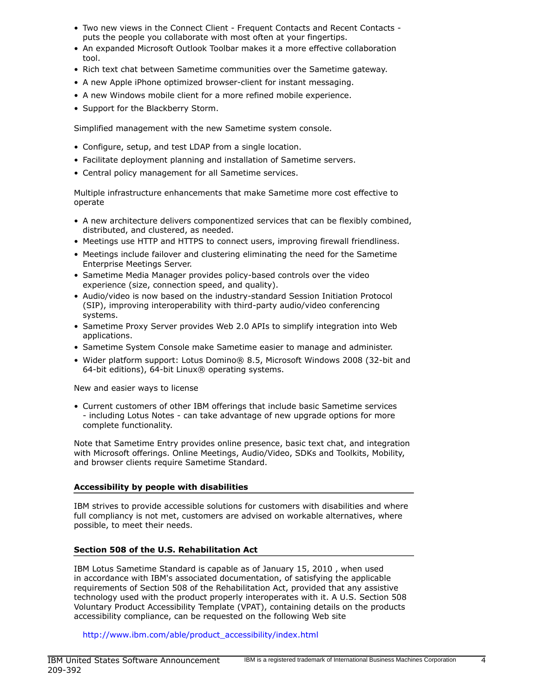- Two new views in the Connect Client Frequent Contacts and Recent Contacts puts the people you collaborate with most often at your fingertips.
- An expanded Microsoft Outlook Toolbar makes it a more effective collaboration tool.
- Rich text chat between Sametime communities over the Sametime gateway.
- A new Apple iPhone optimized browser-client for instant messaging.
- A new Windows mobile client for a more refined mobile experience.
- Support for the Blackberry Storm.

Simplified management with the new Sametime system console.

- Configure, setup, and test LDAP from a single location.
- Facilitate deployment planning and installation of Sametime servers.
- Central policy management for all Sametime services.

Multiple infrastructure enhancements that make Sametime more cost effective to operate

- A new architecture delivers componentized services that can be flexibly combined, distributed, and clustered, as needed.
- Meetings use HTTP and HTTPS to connect users, improving firewall friendliness.
- Meetings include failover and clustering eliminating the need for the Sametime Enterprise Meetings Server.
- Sametime Media Manager provides policy-based controls over the video experience (size, connection speed, and quality).
- Audio/video is now based on the industry-standard Session Initiation Protocol (SIP), improving interoperability with third-party audio/video conferencing systems.
- Sametime Proxy Server provides Web 2.0 APIs to simplify integration into Web applications.
- Sametime System Console make Sametime easier to manage and administer.
- Wider platform support: Lotus Domino® 8.5, Microsoft Windows 2008 (32-bit and 64-bit editions), 64-bit Linux® operating systems.

New and easier ways to license

• Current customers of other IBM offerings that include basic Sametime services - including Lotus Notes - can take advantage of new upgrade options for more complete functionality.

Note that Sametime Entry provides online presence, basic text chat, and integration with Microsoft offerings. Online Meetings, Audio/Video, SDKs and Toolkits, Mobility, and browser clients require Sametime Standard.

## Accessibility by people with disabilities

IBM strives to provide accessible solutions for customers with disabilities and where full compliancy is not met, customers are advised on workable alternatives, where possible, to meet their needs.

## Section 508 of the U.S. Rehabilitation Act

IBM Lotus Sametime Standard is capable as of January 15, 2010 , when used in accordance with IBM's associated documentation, of satisfying the applicable requirements of Section 508 of the Rehabilitation Act, provided that any assistive technology used with the product properly interoperates with it. A U.S. Section 508 Voluntary Product Accessibility Template (VPAT), containing details on the products accessibility compliance, can be requested on the following Web site

[http://www.ibm.com/able/product\\_accessibility/index.html](http://www.ibm.com/able/product_accessibility/index.html)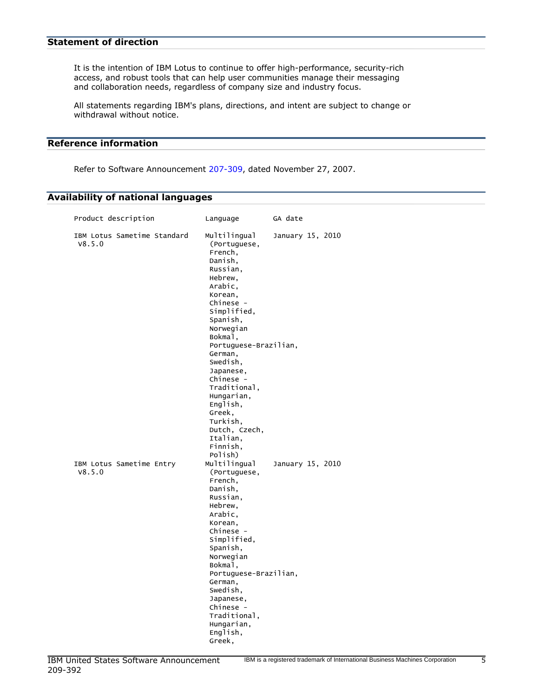<span id="page-4-0"></span>It is the intention of IBM Lotus to continue to offer high-performance, security-rich access, and robust tools that can help user communities manage their messaging and collaboration needs, regardless of company size and industry focus.

All statements regarding IBM's plans, directions, and intent are subject to change or withdrawal without notice.

## Reference information

Refer to Software Announcement [207-309,](http://www.ibm.com/common/ssi/cgi-bin/ssialias?infotype=an&subtype=ca&appname=gpateam&supplier=897&letternum=ENUS207-309) dated November 27, 2007.

# Availability of national languages

| Product description                   | Language                                                                                                                                                                                                                                                                                                                               | GA date          |  |
|---------------------------------------|----------------------------------------------------------------------------------------------------------------------------------------------------------------------------------------------------------------------------------------------------------------------------------------------------------------------------------------|------------------|--|
| IBM Lotus Sametime Standard<br>V8.5.0 | Multilingual<br>(Portuguese,<br>French,<br>Danish,<br>Russian,<br>Hebrew,<br>Arabic,<br>Korean,<br>Chinese -<br>Simplified,<br>Spanish,<br>Norwegian<br>Bokmal,<br>Portuguese-Brazilian,<br>German,<br>Swedish,<br>Japanese,<br>Chinese -<br>Traditional,<br>Hungarian,<br>English,<br>Greek,<br>Turkish,<br>Dutch, Czech,<br>Italian, | January 15, 2010 |  |
| IBM Lotus Sametime Entry<br>V8.5.0    | Finnish,<br>Polish)<br>Multilingual<br>(Portuguese,<br>French,<br>Danish,<br>Russian,<br>Hebrew,<br>Arabic,<br>Korean,<br>Chinese -<br>Simplified,<br>Spanish,<br>Norwegian<br>Bokmal,<br>Portuguese-Brazilian,<br>German,<br>Swedish,<br>Japanese,<br>Chinese -<br>Traditional.<br>Hungarian,                                         | January 15, 2010 |  |
|                                       | English,<br>Greek,                                                                                                                                                                                                                                                                                                                     |                  |  |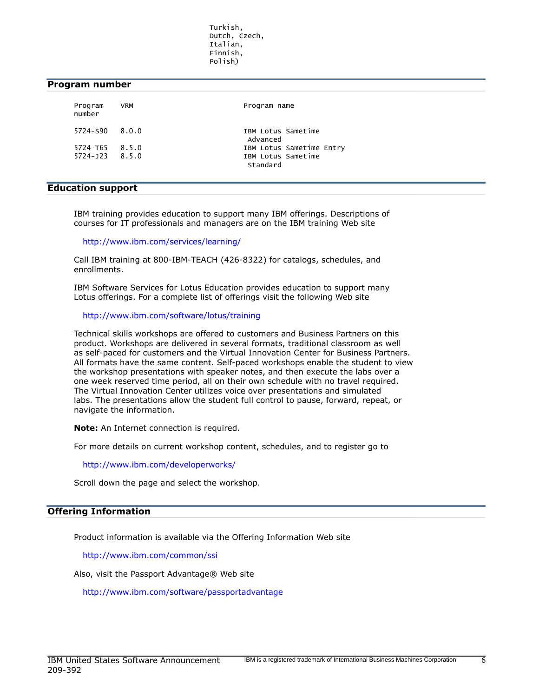Turkish, Dutch, Czech, Italian, Finnish, Polish)

## <span id="page-5-0"></span>Program number

| Program<br>number  | <b>VRM</b> | Program name                   |
|--------------------|------------|--------------------------------|
| $5724 - 590$ 8.0.0 |            | IBM Lotus Sametime<br>Advanced |
| $5724 - T65$ 8.5.0 |            | IBM Lotus Sametime Entry       |
| $5724 - 123$ 8.5.0 |            | IBM Lotus Sametime<br>Standard |

## Education support

IBM training provides education to support many IBM offerings. Descriptions of courses for IT professionals and managers are on the IBM training Web site

<http://www.ibm.com/services/learning/>

Call IBM training at 800-IBM-TEACH (426-8322) for catalogs, schedules, and enrollments.

IBM Software Services for Lotus Education provides education to support many Lotus offerings. For a complete list of offerings visit the following Web site

#### <http://www.ibm.com/software/lotus/training>

Technical skills workshops are offered to customers and Business Partners on this product. Workshops are delivered in several formats, traditional classroom as well as self-paced for customers and the Virtual Innovation Center for Business Partners. All formats have the same content. Self-paced workshops enable the student to view the workshop presentations with speaker notes, and then execute the labs over a one week reserved time period, all on their own schedule with no travel required. The Virtual Innovation Center utilizes voice over presentations and simulated labs. The presentations allow the student full control to pause, forward, repeat, or navigate the information.

Note: An Internet connection is required.

For more details on current workshop content, schedules, and to register go to

<http://www.ibm.com/developerworks/>

Scroll down the page and select the workshop.

#### Offering Information

Product information is available via the Offering Information Web site

<http://www.ibm.com/common/ssi>

Also, visit the Passport Advantage® Web site

<http://www.ibm.com/software/passportadvantage>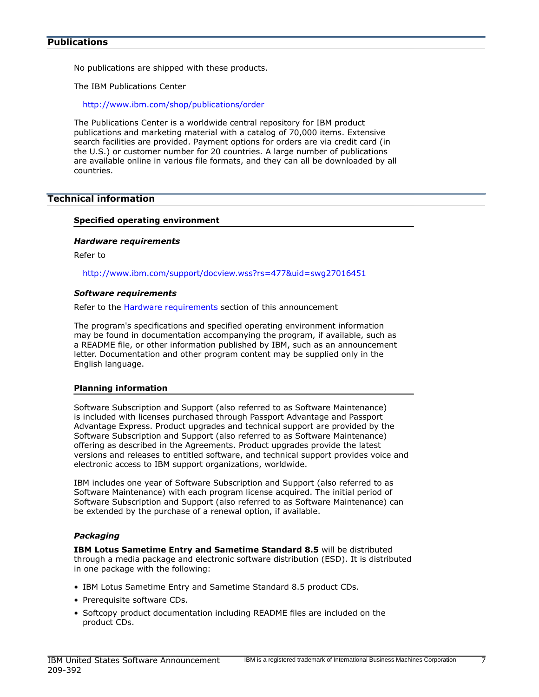#### <span id="page-6-0"></span>**Publications**

No publications are shipped with these products.

The IBM Publications Center

<http://www.ibm.com/shop/publications/order>

The Publications Center is a worldwide central repository for IBM product publications and marketing material with a catalog of 70,000 items. Extensive search facilities are provided. Payment options for orders are via credit card (in the U.S.) or customer number for 20 countries. A large number of publications are available online in various file formats, and they can all be downloaded by all countries.

# <span id="page-6-1"></span>Technical information

## Specified operating environment

#### <span id="page-6-2"></span>*Hardware requirements*

Refer to

<http://www.ibm.com/support/docview.wss?rs=477&uid=swg27016451>

#### <span id="page-6-3"></span>*Software requirements*

Refer to the [Hardware requirements](#page-6-2) section of this announcement

The program's specifications and specified operating environment information may be found in documentation accompanying the program, if available, such as a README file, or other information published by IBM, such as an announcement letter. Documentation and other program content may be supplied only in the English language.

## Planning information

Software Subscription and Support (also referred to as Software Maintenance) is included with licenses purchased through Passport Advantage and Passport Advantage Express. Product upgrades and technical support are provided by the Software Subscription and Support (also referred to as Software Maintenance) offering as described in the Agreements. Product upgrades provide the latest versions and releases to entitled software, and technical support provides voice and electronic access to IBM support organizations, worldwide.

IBM includes one year of Software Subscription and Support (also referred to as Software Maintenance) with each program license acquired. The initial period of Software Subscription and Support (also referred to as Software Maintenance) can be extended by the purchase of a renewal option, if available.

## *Packaging*

IBM Lotus Sametime Entry and Sametime Standard 8.5 will be distributed through a media package and electronic software distribution (ESD). It is distributed in one package with the following:

- IBM Lotus Sametime Entry and Sametime Standard 8.5 product CDs.
- Prerequisite software CDs.
- Softcopy product documentation including README files are included on the product CDs.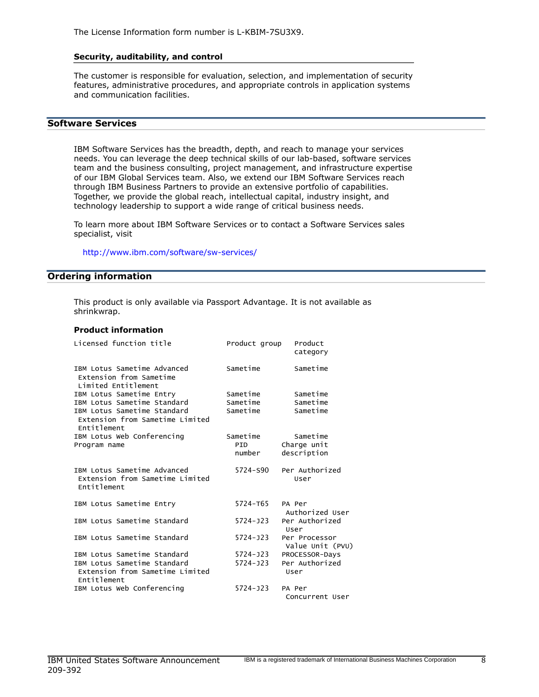#### Security, auditability, and control

The customer is responsible for evaluation, selection, and implementation of security features, administrative procedures, and appropriate controls in application systems and communication facilities.

#### Software Services

IBM Software Services has the breadth, depth, and reach to manage your services needs. You can leverage the deep technical skills of our lab-based, software services team and the business consulting, project management, and infrastructure expertise of our IBM Global Services team. Also, we extend our IBM Software Services reach through IBM Business Partners to provide an extensive portfolio of capabilities. Together, we provide the global reach, intellectual capital, industry insight, and technology leadership to support a wide range of critical business needs.

To learn more about IBM Software Services or to contact a Software Services sales specialist, visit

<http://www.ibm.com/software/sw-services/>

#### <span id="page-7-0"></span>Ordering information

This product is only available via Passport Advantage. It is not available as shrinkwrap.

#### Product information

| Licensed function title                                                       | Product group | Product<br>category               |
|-------------------------------------------------------------------------------|---------------|-----------------------------------|
| IBM Lotus Sametime Advanced<br>Extension from Sametime<br>Limited Entitlement | Sametime      | Sametime                          |
| IBM Lotus Sametime Entry                                                      | Sametime      | Sametime                          |
| IBM Lotus Sametime Standard                                                   | Sametime      | Sametime                          |
| IBM Lotus Sametime Standard<br>Extension from Sametime Limited<br>Entitlement | Sametime      | Sametime                          |
| IBM Lotus Web Conferencing                                                    | Sametime      | Sametime                          |
| Program name                                                                  | PTD.          | Charge unit                       |
|                                                                               | number        | description                       |
| IBM Lotus Sametime Advanced<br>Extension from Sametime Limited<br>Entitlement | 5724-S90      | Per Authorized<br>User            |
| IBM Lotus Sametime Entry                                                      | 5724-T65      | PA Per<br>Authorized User         |
| IBM Lotus Sametime Standard                                                   | $5724 - 123$  | Per Authorized<br>User            |
| IBM Lotus Sametime Standard                                                   | $5724 - 323$  | Per Processor<br>Value Unit (PVU) |
| IBM Lotus Sametime Standard                                                   | 5724-J23      | PROCESSOR-Days                    |
| IBM Lotus Sametime Standard<br>Extension from Sametime Limited<br>Entitlement | $5724 - 323$  | Per Authorized<br>User            |
| IBM Lotus Web Conferencing                                                    | $5724 - 323$  | PA Per<br>Concurrent User         |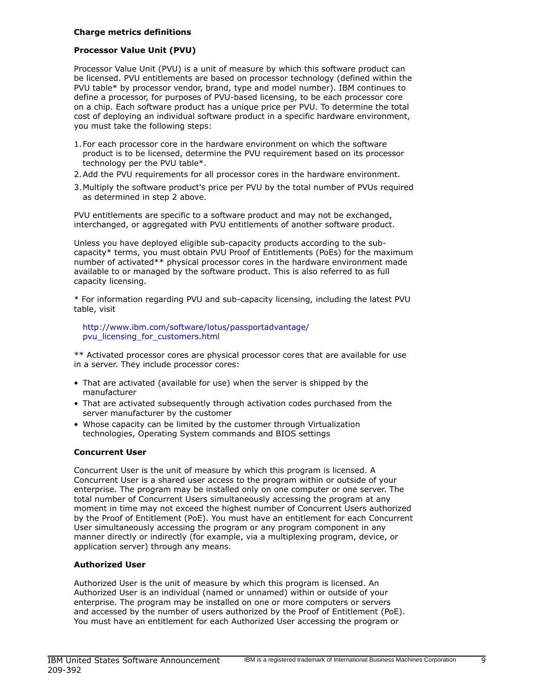#### Charge metrics definitions

#### Processor Value Unit (PVU)

Processor Value Unit (PVU) is a unit of measure by which this software product can be licensed. PVU entitlements are based on processor technology (defined within the PVU table\* by processor vendor, brand, type and model number). IBM continues to define a processor, for purposes of PVU-based licensing, to be each processor core on a chip. Each software product has a unique price per PVU. To determine the total cost of deploying an individual software product in a specific hardware environment, you must take the following steps:

- 1.For each processor core in the hardware environment on which the software product is to be licensed, determine the PVU requirement based on its processor technology per the PVU table\*.
- 2.Add the PVU requirements for all processor cores in the hardware environment.
- 3.Multiply the software product's price per PVU by the total number of PVUs required as determined in step 2 above.

PVU entitlements are specific to a software product and may not be exchanged, interchanged, or aggregated with PVU entitlements of another software product.

Unless you have deployed eligible sub-capacity products according to the subcapacity\* terms, you must obtain PVU Proof of Entitlements (PoEs) for the maximum number of activated\*\* physical processor cores in the hardware environment made available to or managed by the software product. This is also referred to as full capacity licensing.

\* For information regarding PVU and sub-capacity licensing, including the latest PVU table, visit

[http://www.ibm.com/software/lotus/passportadvantage/](http://www.ibm.com/software/lotus/passportadvantage/pvu_licensing_for_customers.html) [pvu\\_licensing\\_for\\_customers.html](http://www.ibm.com/software/lotus/passportadvantage/pvu_licensing_for_customers.html)

\*\* Activated processor cores are physical processor cores that are available for use in a server. They include processor cores:

- That are activated (available for use) when the server is shipped by the manufacturer
- That are activated subsequently through activation codes purchased from the server manufacturer by the customer
- Whose capacity can be limited by the customer through Virtualization technologies, Operating System commands and BIOS settings

## Concurrent User

Concurrent User is the unit of measure by which this program is licensed. A Concurrent User is a shared user access to the program within or outside of your enterprise. The program may be installed only on one computer or one server. The total number of Concurrent Users simultaneously accessing the program at any moment in time may not exceed the highest number of Concurrent Users authorized by the Proof of Entitlement (PoE). You must have an entitlement for each Concurrent User simultaneously accessing the program or any program component in any manner directly or indirectly (for example, via a multiplexing program, device, or application server) through any means.

#### Authorized User

Authorized User is the unit of measure by which this program is licensed. An Authorized User is an individual (named or unnamed) within or outside of your enterprise. The program may be installed on one or more computers or servers and accessed by the number of users authorized by the Proof of Entitlement (PoE). You must have an entitlement for each Authorized User accessing the program or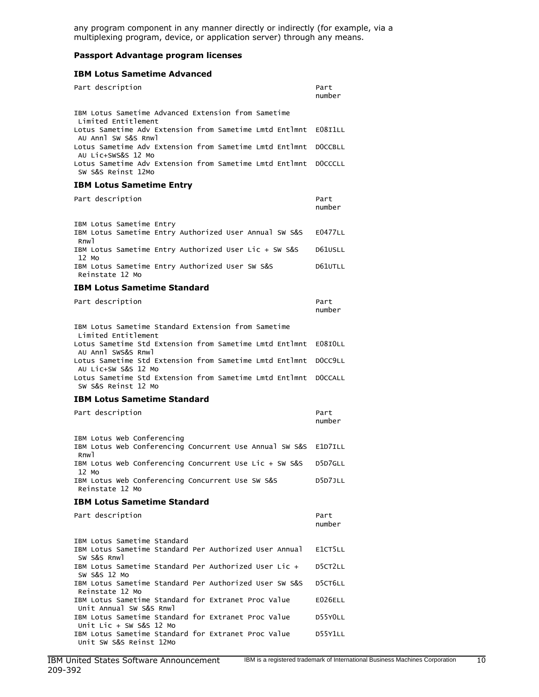any program component in any manner directly or indirectly (for example, via a multiplexing program, device, or application server) through any means.

#### Passport Advantage program licenses

#### IBM Lotus Sametime Advanced

| Part description                                                                                          | Part<br>number |
|-----------------------------------------------------------------------------------------------------------|----------------|
| IBM Lotus Sametime Advanced Extension from Sametime<br>Limited Entitlement                                |                |
| Lotus Sametime Adv Extension from Sametime Lmtd Entlmnt<br>AU Annl SW S&S Rnwl                            | E08I1LL        |
| Lotus Sametime Adv Extension from Sametime Lmtd Entlmnt<br>AU Lic+SWS&S 12 Mo                             | DOCCBLL        |
| Lotus Sametime Adv Extension from Sametime Lmtd Entlmnt<br>SW S&S Reinst 12Mo                             | DOCCCLL        |
| <b>IBM Lotus Sametime Entry</b>                                                                           |                |
| Part description                                                                                          | Part<br>number |
| IBM Lotus Sametime Entry<br>IBM Lotus Sametime Entry Authorized User Annual SW S&S<br>Rnwl                | <b>E0477LL</b> |
| IBM Lotus Sametime Entry Authorized User Lic + SW S&S<br>12 Mo                                            | D61USLL        |
| IBM Lotus Sametime Entry Authorized User SW S&S<br>Reinstate 12 Mo                                        | D61UTLL        |
| <b>IBM Lotus Sametime Standard</b>                                                                        |                |
| Part description                                                                                          | Part<br>number |
| IBM Lotus Sametime Standard Extension from Sametime                                                       |                |
| Limited Entitlement<br>Lotus Sametime Std Extension from Sametime Lmtd Entlmnt                            | E08IOLL        |
| AU Annl SWS&S Rnwl<br>Lotus Sametime Std Extension from Sametime Lmtd Entlmnt                             | DOCC9LL        |
| AU Lic+SW S&S 12 Mo<br>Lotus Sametime Std Extension from Sametime Lmtd Entlmnt<br>SW S&S Reinst 12 Mo     | DOCCALL        |
| <b>IBM Lotus Sametime Standard</b>                                                                        |                |
| Part description                                                                                          | Part<br>number |
| IBM Lotus Web Conferencing<br>IBM Lotus Web Conferencing Concurrent Use Annual SW S&S<br>Rnw]             | E1D7ILL        |
| IBM Lotus Web Conferencing Concurrent Use Lic + SW S&S<br>12 Mo                                           | D5D7GLL        |
| IBM Lotus Web Conferencing Concurrent Use SW S&S<br>Reinstate 12 Mo                                       | D5D7JLL        |
| <b>IBM Lotus Sametime Standard</b>                                                                        |                |
| Part description                                                                                          | Part<br>number |
| IBM Lotus Sametime Standard<br>IBM Lotus Sametime Standard Per Authorized User Annual<br>SW S&S Rnwl      | E1CT5LL        |
| IBM Lotus Sametime Standard Per Authorized User Lic +                                                     | D5CT2LL        |
| SW S&S 12 Mo<br>IBM Lotus Sametime Standard Per Authorized User SW S&S                                    | D5CT6LL        |
| Reinstate 12 Mo<br>IBM Lotus Sametime Standard for Extranet Proc Value                                    | E026ELL        |
| Unit Annual SW S&S Rnwl<br>IBM Lotus Sametime Standard for Extranet Proc Value                            | D55YOLL        |
| Unit Lic + SW S&S 12 Mo<br>IBM Lotus Sametime Standard for Extranet Proc Value<br>Unit SW S&S Reinst 12Mo | D55Y1LL        |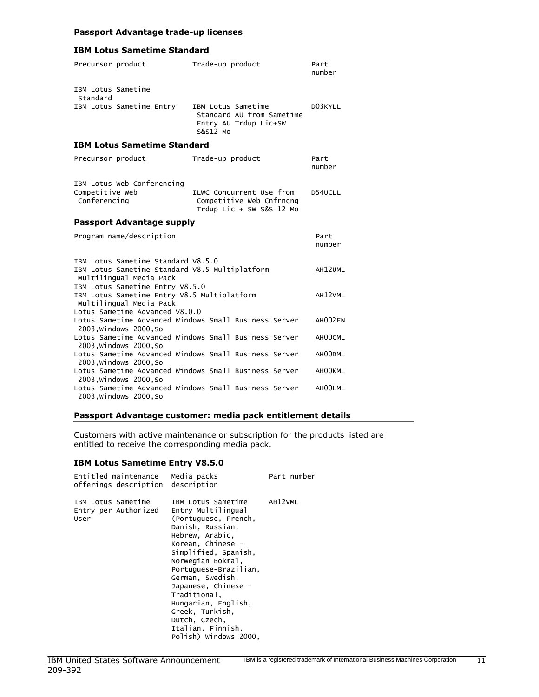#### Passport Advantage trade-up licenses

## IBM Lotus Sametime Standard

| Precursor product                                                                                                 | Trade-up product                                                                     | Part<br>number |
|-------------------------------------------------------------------------------------------------------------------|--------------------------------------------------------------------------------------|----------------|
| IBM Lotus Sametime<br>Standard                                                                                    |                                                                                      |                |
| IBM Lotus Sametime Entry                                                                                          | IBM Lotus Sametime<br>Standard AU from Sametime<br>Entry AU Trdup Lic+SW<br>S&S12 MO | D03KYLL        |
| <b>IBM Lotus Sametime Standard</b>                                                                                |                                                                                      |                |
| Precursor product                                                                                                 | Trade-up product                                                                     | Part<br>number |
| IBM Lotus Web Conferencing<br>Competitive Web<br>Conferencing                                                     | ILWC Concurrent Use from<br>Competitive Web Cnfrncng<br>Trdup Lic + SW S&S 12 Mo     | D54UCLL        |
| <b>Passport Advantage supply</b>                                                                                  |                                                                                      |                |
| Program name/description                                                                                          |                                                                                      | Part<br>number |
| IBM Lotus Sametime Standard V8.5.0<br>IBM Lotus Sametime Standard V8.5 Multiplatform<br>Multilingual Media Pack   |                                                                                      | AH12UML        |
| IBM Lotus Sametime Entry V8.5.0<br>IBM Lotus Sametime Entry V8.5 Multiplatform<br>Multilingual Media Pack         |                                                                                      | AH12VML        |
| Lotus Sametime Advanced V8.0.0<br>Lotus Sametime Advanced Windows Small Business Server<br>2003, Windows 2000, So |                                                                                      | AH002EN        |
| Lotus Sametime Advanced Windows Small Business Server<br>2003, Windows 2000, So                                   |                                                                                      | AH00CML        |
| Lotus Sametime Advanced Windows Small Business Server<br>2003, Windows 2000, So                                   |                                                                                      | AH00DML        |
| Lotus Sametime Advanced Windows Small Business Server                                                             |                                                                                      | AHOOKML        |
| 2003, Windows 2000, So                                                                                            |                                                                                      |                |

#### Passport Advantage customer: media pack entitlement details

Customers with active maintenance or subscription for the products listed are entitled to receive the corresponding media pack.

## IBM Lotus Sametime Entry V8.5.0

|                            | Entitled maintenance<br>offerings description description | Media packs                                                                                                                                                                                                                                                                                                                                                            | Part number |
|----------------------------|-----------------------------------------------------------|------------------------------------------------------------------------------------------------------------------------------------------------------------------------------------------------------------------------------------------------------------------------------------------------------------------------------------------------------------------------|-------------|
| IBM Lotus Sametime<br>User | Entry per Authorized                                      | IBM Lotus Sametime<br>Entry Multilingual<br>(Portuguese, French,<br>Danish, Russian,<br>Hebrew, Arabic,<br>Korean, Chinese -<br>Simplified, Spanish,<br>Norwegian Bokmal,<br>Portuguese-Brazilian,<br>German, Swedish,<br>Japanese, Chinese -<br>Traditional.<br>Hungarian, English,<br>Greek, Turkish,<br>Dutch, Czech,<br>Italian, Finnish,<br>Polish) Windows 2000, | AH12VML     |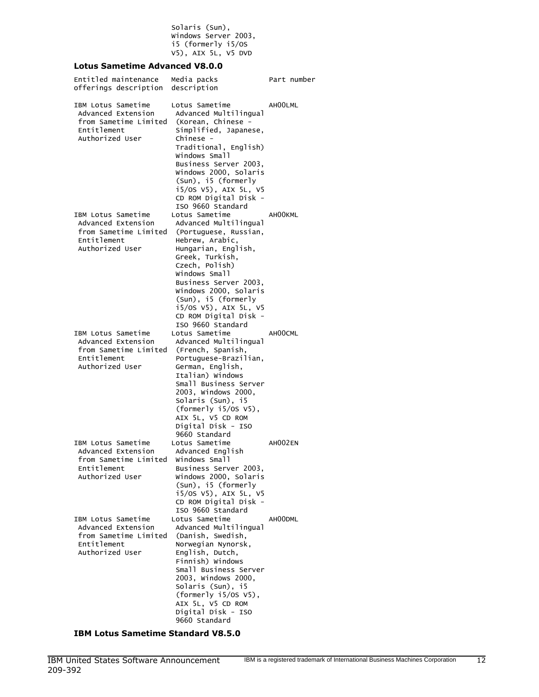Solaris (Sun), Windows Server 2003, i5 (formerly i5/OS V5), AIX 5L, V5 DVD

## Lotus Sametime Advanced V8.0.0

| Entitled maintenance<br>offerings description                                                       | Media packs<br>description                                                                                                                                                                                                                                                                                       | Part number |
|-----------------------------------------------------------------------------------------------------|------------------------------------------------------------------------------------------------------------------------------------------------------------------------------------------------------------------------------------------------------------------------------------------------------------------|-------------|
| IBM Lotus Sametime<br>Advanced Extension<br>from Sametime Limited<br>Entitlement<br>Authorized User | Lotus Sametime<br>Advanced Multilingual<br>(Korean, Chinese -<br>Simplified, Japanese,<br>Chinese -<br>Traditional, English)<br>Windows Small<br>Business Server 2003,<br>Windows 2000, Solaris<br>(Sun), i5 (formerly<br>i5/0S V5), AIX 5L, V5<br>CD ROM Digital Disk -<br>ISO 9660 Standard                    | AH00LML     |
| IBM Lotus Sametime<br>Advanced Extension<br>from Sametime Limited<br>Entitlement<br>Authorized User | Lotus Sametime<br>Advanced Multilingual<br>(Portuguese, Russian,<br>Hebrew, Arabic,<br>Hungarian, English,<br>Greek, Turkish,<br>Czech, Polish)<br>Windows Small<br>Business Server 2003,<br>Windows 2000, Solaris<br>(Sun), i5 (formerly<br>i5/OS V5), AIX 5L, V5<br>CD ROM Digital Disk -<br>ISO 9660 Standard | AH00KML     |
| IBM Lotus Sametime<br>Advanced Extension<br>from Sametime Limited<br>Entitlement<br>Authorized User | Lotus Sametime<br>Advanced Multilingual<br>(French, Spanish,<br>Portuguese-Brazilian,<br>German, English,<br>Italian) Windows<br>Small Business Server<br>2003, Windows 2000,<br>Solaris (Sun), i5<br>(formerly i5/0S V5),<br>AIX 5L, V5 CD ROM<br>Digital Disk - ISO<br>9660 Standard                           | AH00CML     |
| IBM Lotus Sametime<br>Advanced Extension<br>from Sametime Limited<br>Entitlement<br>Authorized User | Lotus Sametime<br>Advanced English<br>Windows Small<br>Business Server 2003,<br>Windows 2000, Solaris<br>(Sun), i5 (formerly<br>i5/0S V5), AIX 5L, V5<br>CD ROM Digital Disk -<br>ISO 9660 Standard                                                                                                              | AH002EN     |
| IBM Lotus Sametime<br>Advanced Extension<br>from Sametime Limited<br>Entitlement<br>Authorized User | Lotus Sametime<br>Advanced Multilingual<br>(Danish, Swedish,<br>Norwegian Nynorsk,<br>English, Dutch,<br>Finnish) Windows<br>Small Business Server<br>2003, Windows 2000,<br>Solaris (Sun), i5<br>(formerly i5/0S V5),<br>AIX 5L, V5 CD ROM<br>Digital Disk - ISO<br>9660 Standard                               | AH00DML     |

IBM Lotus Sametime Standard V8.5.0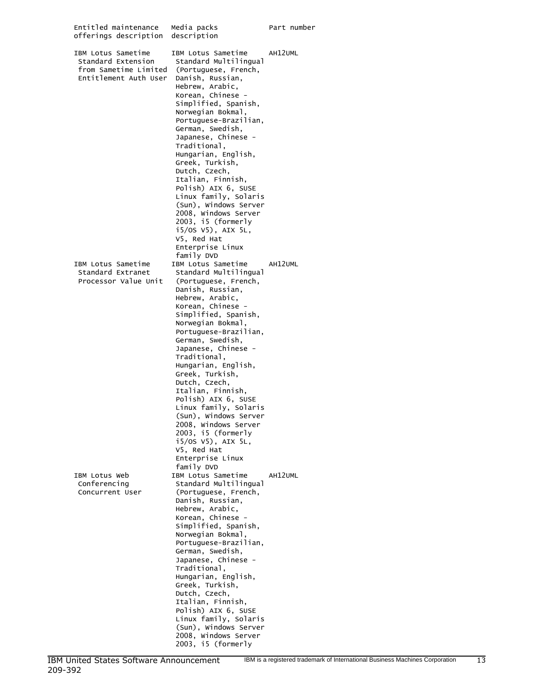| Entitled maintenance<br>offerings description                                              | Media packs<br>description                                                                                                                                                                                                                                                                                                                                                                                                                                                                                                                     | Part number |
|--------------------------------------------------------------------------------------------|------------------------------------------------------------------------------------------------------------------------------------------------------------------------------------------------------------------------------------------------------------------------------------------------------------------------------------------------------------------------------------------------------------------------------------------------------------------------------------------------------------------------------------------------|-------------|
| IBM Lotus Sametime<br>Standard Extension<br>from Sametime Limited<br>Entitlement Auth User | IBM Lotus Sametime<br>Standard Multilingual<br>(Portuguese, French,<br>Danish, Russian,<br>Hebrew, Arabic,<br>Korean, Chinese -<br>Simplified, Spanish,<br>Norwegian Bokmal,<br>Portuguese-Brazilian,<br>German, Swedish,<br>Japanese, Chinese -<br>Traditional,<br>Hungarian, English,<br>Greek, Turkish,<br>Dutch, Czech,<br>Italian, Finnish,<br>Polish) AIX 6, SUSE<br>Linux family, Solaris<br>(Sun), Windows Server<br>2008, Windows Server<br>2003, i5 (formerly<br>i5/0S V5), AIX 5L,<br>V5, Red Hat<br>Enterprise Linux<br>family DVD | AH12UML     |
| IBM Lotus Sametime<br>Standard Extranet<br>Processor Value Unit                            | IBM Lotus Sametime<br>Standard Multilingual<br>(Portuguese, French,<br>Danish, Russian,<br>Hebrew, Arabic,<br>Korean, Chinese -<br>Simplified, Spanish,<br>Norwegian Bokmal,<br>Portuguese-Brazilian,<br>German, Swedish,<br>Japanese, Chinese -<br>Traditional,<br>Hungarian, English,<br>Greek, Turkish,<br>Dutch, Czech,<br>Italian, Finnish,<br>Polish) AIX 6, SUSE<br>Linux family, Solaris<br>(Sun), Windows Server<br>2008, Windows Server<br>2003, i5 (formerly<br>i5/0S V5), AIX 5L,<br>V5, Red Hat<br>Enterprise Linux<br>family DVD | AH12UML     |
| IBM Lotus Web<br>Conferencing<br>Concurrent User                                           | IBM Lotus Sametime<br>Standard Multilingual<br>(Portuguese, French,<br>Danish, Russian,<br>Hebrew, Arabic,<br>Korean, Chinese -<br>Simplified, Spanish,<br>Norwegian Bokmal,<br>Portuguese-Brazilian,<br>German, Swedish,<br>Japanese, Chinese -<br>Traditional,<br>Hungarian, English,<br>Greek, Turkish,<br>Dutch, Czech,<br>Italian, Finnish,<br>Polish) AIX 6, SUSE<br>Linux family, Solaris<br>(Sun), Windows Server<br>2008, Windows Server<br>2003, i5 (formerly                                                                        | AH12UML     |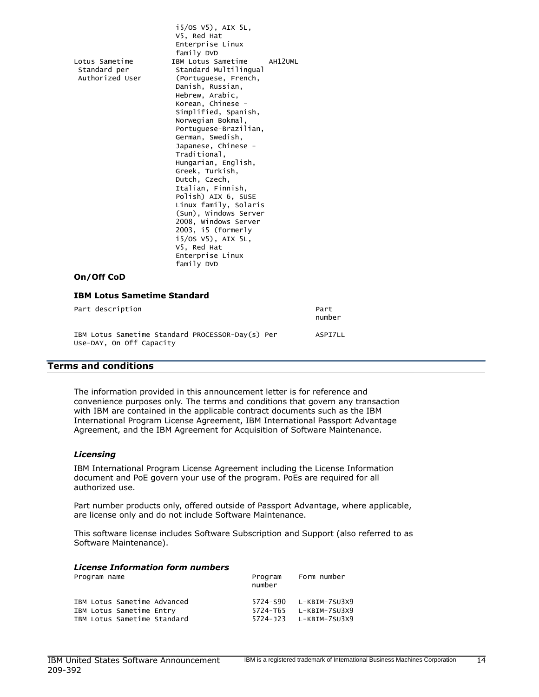i5/OS V5), AIX 5L, V5, Red Hat Enterprise Linux family DVD Lotus Sametime IBM Lotus Sametime AH12UML Standard per Standard Multilingual Authorized User (Portuguese, French, Danish, Russian, Hebrew, Arabic, Korean, Chinese - Simplified, Spanish, Norwegian Bokmal, Portuguese-Brazilian, German, Swedish, Japanese, Chinese - Traditional, Hungarian, English, Greek, Turkish, Dutch, Czech, Italian, Finnish, Polish) AIX 6, SUSE Linux family, Solaris (Sun), Windows Server 2008, Windows Server 2003, i5 (formerly i5/OS V5), AIX 5L, V5, Red Hat Enterprise Linux family DVD

## On/Off CoD

| <b>IBM Lotus Sametime Standard</b>                                           |                |
|------------------------------------------------------------------------------|----------------|
| Part description                                                             | Part<br>number |
| IBM Lotus Sametime Standard PROCESSOR-Day(s) Per<br>Use-DAY, On Off Capacity | ASPI7LL        |

#### <span id="page-13-0"></span>Terms and conditions

The information provided in this announcement letter is for reference and convenience purposes only. The terms and conditions that govern any transaction with IBM are contained in the applicable contract documents such as the IBM International Program License Agreement, IBM International Passport Advantage Agreement, and the IBM Agreement for Acquisition of Software Maintenance.

#### *Licensing*

IBM International Program License Agreement including the License Information document and PoE govern your use of the program. PoEs are required for all authorized use.

Part number products only, offered outside of Passport Advantage, where applicable, are license only and do not include Software Maintenance.

This software license includes Software Subscription and Support (also referred to as Software Maintenance).

| <b>License Information form numbers</b> |                   |                        |  |  |
|-----------------------------------------|-------------------|------------------------|--|--|
| Program name                            | Program<br>number | Form number            |  |  |
| IBM Lotus Sametime Advanced             |                   | 5724-590 L-KBIM-7SU3X9 |  |  |
| IBM Lotus Sametime Entry                |                   | 5724-T65 L-KBIM-7SU3X9 |  |  |
| IBM Lotus Sametime Standard             |                   | 5724-J23 L-KBIM-7SU3X9 |  |  |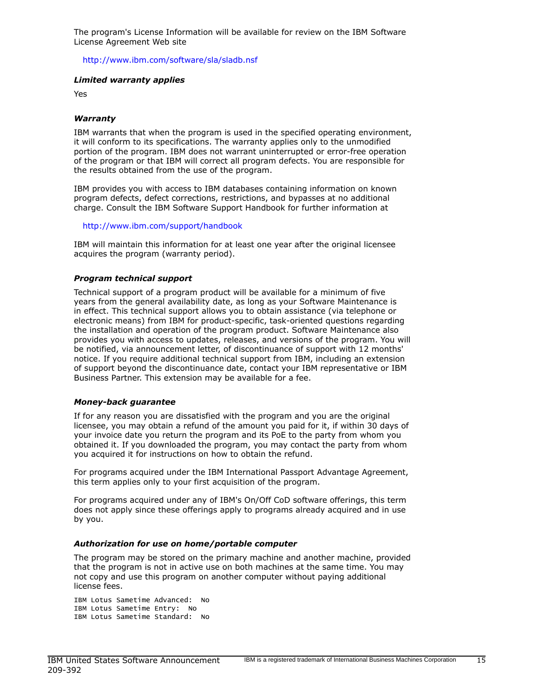The program's License Information will be available for review on the IBM Software License Agreement Web site

<http://www.ibm.com/software/sla/sladb.nsf>

#### *Limited warranty applies*

Yes

#### *Warranty*

IBM warrants that when the program is used in the specified operating environment, it will conform to its specifications. The warranty applies only to the unmodified portion of the program. IBM does not warrant uninterrupted or error-free operation of the program or that IBM will correct all program defects. You are responsible for the results obtained from the use of the program.

IBM provides you with access to IBM databases containing information on known program defects, defect corrections, restrictions, and bypasses at no additional charge. Consult the IBM Software Support Handbook for further information at

<http://www.ibm.com/support/handbook>

IBM will maintain this information for at least one year after the original licensee acquires the program (warranty period).

#### *Program technical support*

Technical support of a program product will be available for a minimum of five years from the general availability date, as long as your Software Maintenance is in effect. This technical support allows you to obtain assistance (via telephone or electronic means) from IBM for product-specific, task-oriented questions regarding the installation and operation of the program product. Software Maintenance also provides you with access to updates, releases, and versions of the program. You will be notified, via announcement letter, of discontinuance of support with 12 months' notice. If you require additional technical support from IBM, including an extension of support beyond the discontinuance date, contact your IBM representative or IBM Business Partner. This extension may be available for a fee.

#### *Money-back guarantee*

If for any reason you are dissatisfied with the program and you are the original licensee, you may obtain a refund of the amount you paid for it, if within 30 days of your invoice date you return the program and its PoE to the party from whom you obtained it. If you downloaded the program, you may contact the party from whom you acquired it for instructions on how to obtain the refund.

For programs acquired under the IBM International Passport Advantage Agreement, this term applies only to your first acquisition of the program.

For programs acquired under any of IBM's On/Off CoD software offerings, this term does not apply since these offerings apply to programs already acquired and in use by you.

#### *Authorization for use on home/portable computer*

The program may be stored on the primary machine and another machine, provided that the program is not in active use on both machines at the same time. You may not copy and use this program on another computer without paying additional license fees.

```
IBM Lotus Sametime Advanced: No
IBM Lotus Sametime Entry: No
IBM Lotus Sametime Standard: No
```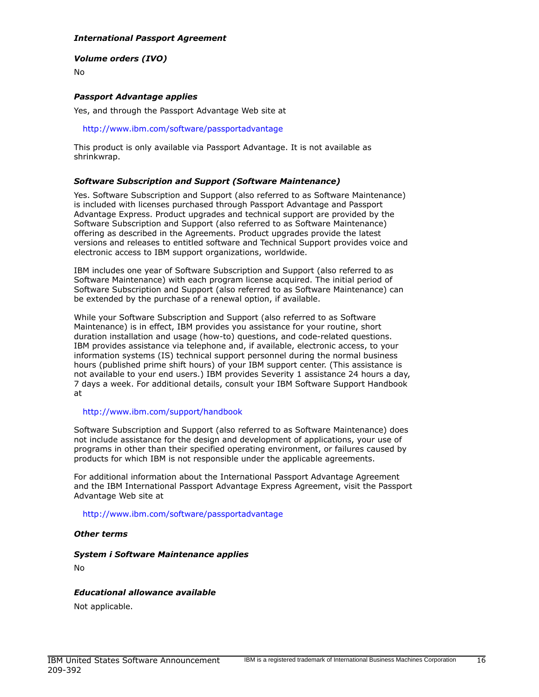## *International Passport Agreement*

## *Volume orders (IVO)*

No

## *Passport Advantage applies*

Yes, and through the Passport Advantage Web site at

#### <http://www.ibm.com/software/passportadvantage>

This product is only available via Passport Advantage. It is not available as shrinkwrap.

#### *Software Subscription and Support (Software Maintenance)*

Yes. Software Subscription and Support (also referred to as Software Maintenance) is included with licenses purchased through Passport Advantage and Passport Advantage Express. Product upgrades and technical support are provided by the Software Subscription and Support (also referred to as Software Maintenance) offering as described in the Agreements. Product upgrades provide the latest versions and releases to entitled software and Technical Support provides voice and electronic access to IBM support organizations, worldwide.

IBM includes one year of Software Subscription and Support (also referred to as Software Maintenance) with each program license acquired. The initial period of Software Subscription and Support (also referred to as Software Maintenance) can be extended by the purchase of a renewal option, if available.

While your Software Subscription and Support (also referred to as Software Maintenance) is in effect, IBM provides you assistance for your routine, short duration installation and usage (how-to) questions, and code-related questions. IBM provides assistance via telephone and, if available, electronic access, to your information systems (IS) technical support personnel during the normal business hours (published prime shift hours) of your IBM support center. (This assistance is not available to your end users.) IBM provides Severity 1 assistance 24 hours a day, 7 days a week. For additional details, consult your IBM Software Support Handbook at

#### <http://www.ibm.com/support/handbook>

Software Subscription and Support (also referred to as Software Maintenance) does not include assistance for the design and development of applications, your use of programs in other than their specified operating environment, or failures caused by products for which IBM is not responsible under the applicable agreements.

For additional information about the International Passport Advantage Agreement and the IBM International Passport Advantage Express Agreement, visit the Passport Advantage Web site at

#### <http://www.ibm.com/software/passportadvantage>

#### *Other terms*

## *System i Software Maintenance applies*

No

## *Educational allowance available*

Not applicable.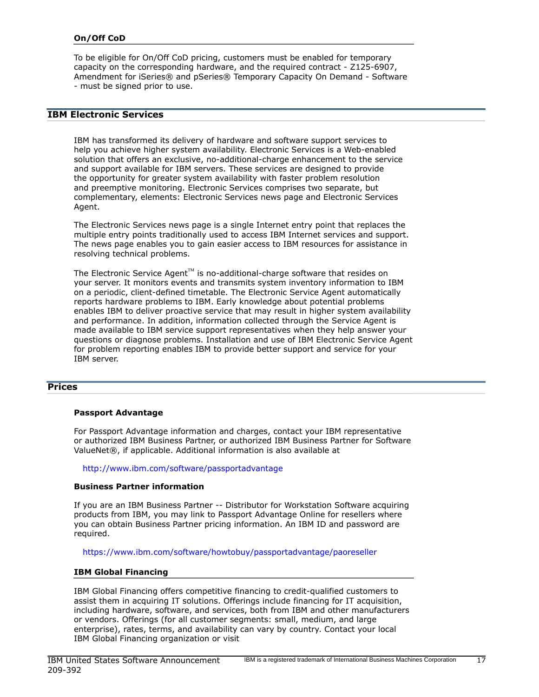## On/Off CoD

To be eligible for On/Off CoD pricing, customers must be enabled for temporary capacity on the corresponding hardware, and the required contract - Z125-6907, Amendment for iSeries® and pSeries® Temporary Capacity On Demand - Software - must be signed prior to use.

# IBM Electronic Services

IBM has transformed its delivery of hardware and software support services to help you achieve higher system availability. Electronic Services is a Web-enabled solution that offers an exclusive, no-additional-charge enhancement to the service and support available for IBM servers. These services are designed to provide the opportunity for greater system availability with faster problem resolution and preemptive monitoring. Electronic Services comprises two separate, but complementary, elements: Electronic Services news page and Electronic Services Agent.

The Electronic Services news page is a single Internet entry point that replaces the multiple entry points traditionally used to access IBM Internet services and support. The news page enables you to gain easier access to IBM resources for assistance in resolving technical problems.

The Electronic Service Agent<sup>™</sup> is no-additional-charge software that resides on your server. It monitors events and transmits system inventory information to IBM on a periodic, client-defined timetable. The Electronic Service Agent automatically reports hardware problems to IBM. Early knowledge about potential problems enables IBM to deliver proactive service that may result in higher system availability and performance. In addition, information collected through the Service Agent is made available to IBM service support representatives when they help answer your questions or diagnose problems. Installation and use of IBM Electronic Service Agent for problem reporting enables IBM to provide better support and service for your IBM server.

## <span id="page-16-0"></span>**Prices**

#### Passport Advantage

For Passport Advantage information and charges, contact your IBM representative or authorized IBM Business Partner, or authorized IBM Business Partner for Software ValueNet®, if applicable. Additional information is also available at

<http://www.ibm.com/software/passportadvantage>

#### Business Partner information

If you are an IBM Business Partner -- Distributor for Workstation Software acquiring products from IBM, you may link to Passport Advantage Online for resellers where you can obtain Business Partner pricing information. An IBM ID and password are required.

<https://www.ibm.com/software/howtobuy/passportadvantage/paoreseller>

#### IBM Global Financing

IBM Global Financing offers competitive financing to credit-qualified customers to assist them in acquiring IT solutions. Offerings include financing for IT acquisition, including hardware, software, and services, both from IBM and other manufacturers or vendors. Offerings (for all customer segments: small, medium, and large enterprise), rates, terms, and availability can vary by country. Contact your local IBM Global Financing organization or visit